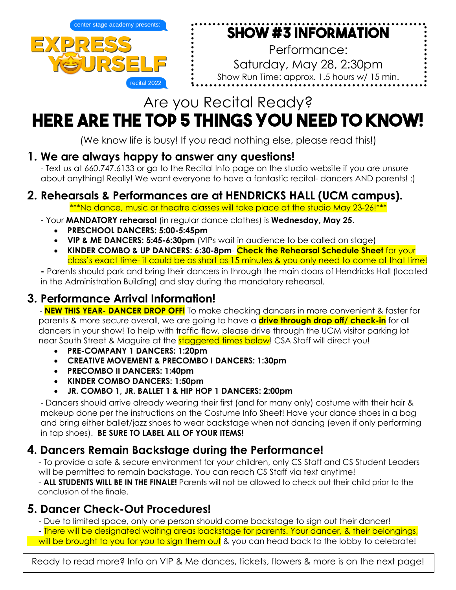

# **Show #3 Information**

Performance: Saturday, May 28, 2:30pm Show Run Time: approx. 1.5 hours w/ 15 min. intermission

# Are you Recital Ready?

# **Here are the TOP 5 things YOU NEED TO KNOW!**

(We know life is busy! If you read nothing else, please read this!)

## **1. We are always happy to answer any questions!**

- Text us at 660.747.6133 or go to the Recital Info page on the studio website if you are unsure about anything! Really! We want everyone to have a fantastic recital- dancers AND parents! :)

# **2. Rehearsals & Performances are at HENDRICKS HALL (UCM campus).**

\*\*\*No dance, music or theatre classes will take place at the studio May 23-26!\*\*\*

- Your **MANDATORY rehearsal** (in regular dance clothes) is **Wednesday, May 25**.
	- **PRESCHOOL DANCERS: 5:00-5:45pm**
	- **VIP & ME DANCERS: 5:45-6:30pm** (VIPs wait in audience to be called on stage)
	- **KINDER COMBO & UP DANCERS: 6:30-8pm Check the Rehearsal Schedule Sheet** for your class's exact time- it could be as short as 15 minutes & you only need to come at that time!

**-** Parents should park and bring their dancers in through the main doors of Hendricks Hall (located in the Administration Building) and stay during the mandatory rehearsal.

# **3. Performance Arrival Information!**

- **NEW THIS YEAR- DANCER DROP OFF!** To make checking dancers in more convenient & faster for parents & more secure overall, we are going to have a **drive through drop off/ check-in** for all dancers in your show! To help with traffic flow, please drive through the UCM visitor parking lot near South Street & Maguire at the **staggered times below!** CSA Staff will direct you!

- **PRE-COMPANY 1 DANCERS: 1:20pm**
- **CREATIVE MOVEMENT & PRECOMBO I DANCERS: 1:30pm**
- **PRECOMBO II DANCERS: 1:40pm**
- **KINDER COMBO DANCERS: 1:50pm**
- **JR. COMBO 1, JR. BALLET 1 & HIP HOP 1 DANCERS: 2:00pm**

- Dancers should arrive already wearing their first (and for many only) costume with their hair & makeup done per the instructions on the Costume Info Sheet! Have your dance shoes in a bag and bring either ballet/jazz shoes to wear backstage when not dancing (even if only performing in tap shoes). **BE SURE TO LABEL ALL OF YOUR ITEMS!**

## **4. Dancers Remain Backstage during the Performance!**

 - To provide a safe & secure environment for your children, only CS Staff and CS Student Leaders will be permitted to remain backstage. You can reach CS Staff via text anytime!

 - **ALL STUDENTS WILL BE IN THE FINALE!** Parents will not be allowed to check out their child prior to the conclusion of the finale.

**5. Dancer Check-Out Procedures!** - Due to limited space, only one person should come backstage to sign out their dancer!

 - There will be designated waiting areas backstage for parents. Your dancer, & their belongings, will be brought to you for you to sign them out & you can head back to the lobby to celebrate!

Ready to read more? Info on VIP & Me dances, tickets, flowers & more is on the next page!